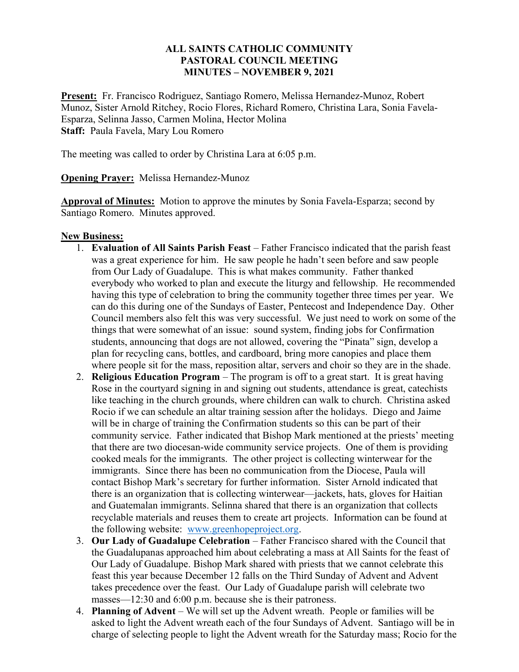## ALL SAINTS CATHOLIC COMMUNITY PASTORAL COUNCIL MEETING MINUTES – NOVEMBER 9, 2021

Present: Fr. Francisco Rodriguez, Santiago Romero, Melissa Hernandez-Munoz, Robert Munoz, Sister Arnold Ritchey, Rocio Flores, Richard Romero, Christina Lara, Sonia Favela-Esparza, Selinna Jasso, Carmen Molina, Hector Molina Staff: Paula Favela, Mary Lou Romero

The meeting was called to order by Christina Lara at 6:05 p.m.

Opening Prayer: Melissa Hernandez-Munoz

Approval of Minutes: Motion to approve the minutes by Sonia Favela-Esparza; second by Santiago Romero. Minutes approved.

## **New Business:**

- 1. Evaluation of All Saints Parish Feast Father Francisco indicated that the parish feast was a great experience for him. He saw people he hadn't seen before and saw people from Our Lady of Guadalupe. This is what makes community. Father thanked everybody who worked to plan and execute the liturgy and fellowship. He recommended having this type of celebration to bring the community together three times per year. We can do this during one of the Sundays of Easter, Pentecost and Independence Day. Other Council members also felt this was very successful. We just need to work on some of the things that were somewhat of an issue: sound system, finding jobs for Confirmation students, announcing that dogs are not allowed, covering the "Pinata" sign, develop a plan for recycling cans, bottles, and cardboard, bring more canopies and place them where people sit for the mass, reposition altar, servers and choir so they are in the shade.
- 2. Religious Education Program The program is off to a great start. It is great having Rose in the courtyard signing in and signing out students, attendance is great, catechists like teaching in the church grounds, where children can walk to church. Christina asked Rocio if we can schedule an altar training session after the holidays. Diego and Jaime will be in charge of training the Confirmation students so this can be part of their community service. Father indicated that Bishop Mark mentioned at the priests' meeting that there are two diocesan-wide community service projects. One of them is providing cooked meals for the immigrants. The other project is collecting winterwear for the immigrants. Since there has been no communication from the Diocese, Paula will contact Bishop Mark's secretary for further information. Sister Arnold indicated that there is an organization that is collecting winterwear—jackets, hats, gloves for Haitian and Guatemalan immigrants. Selinna shared that there is an organization that collects recyclable materials and reuses them to create art projects. Information can be found at the following website: www.greenhopeproject.org.
- 3. Our Lady of Guadalupe Celebration Father Francisco shared with the Council that the Guadalupanas approached him about celebrating a mass at All Saints for the feast of Our Lady of Guadalupe. Bishop Mark shared with priests that we cannot celebrate this feast this year because December 12 falls on the Third Sunday of Advent and Advent takes precedence over the feast. Our Lady of Guadalupe parish will celebrate two masses—12:30 and 6:00 p.m. because she is their patroness.
- 4. Planning of Advent We will set up the Advent wreath. People or families will be asked to light the Advent wreath each of the four Sundays of Advent. Santiago will be in charge of selecting people to light the Advent wreath for the Saturday mass; Rocio for the